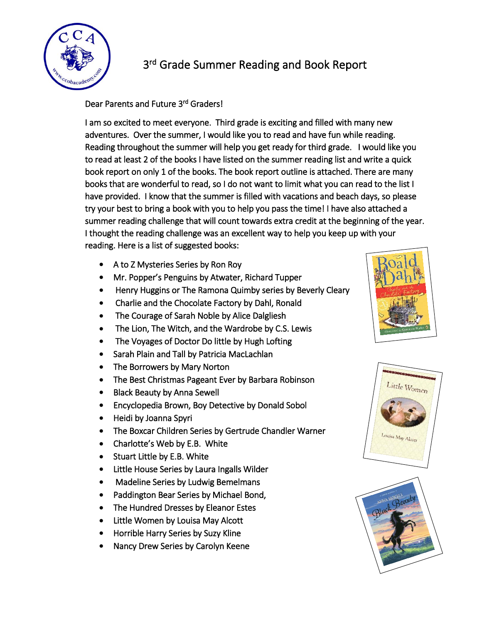

## 3<sup>rd</sup> Grade Summer Reading and Book Report

Dear Parents and Future 3<sup>rd</sup> Graders!

I am so excited to meet everyone. Third grade is exciting and filled with many new adventures. Over the summer, I would like you to read and have fun while reading. Reading throughout the summer will help you get ready for third grade. I would like you to read at least 2 of the books I have listed on the summer reading list and write a quick book report on only 1 of the books. The book report outline is attached. There are many books that are wonderful to read, so I do not want to limit what you can read to the list I have provided. I know that the summer is filled with vacations and beach days, so please try your best to bring a book with you to help you pass the time! I have also attached a summer reading challenge that will count towards extra credit at the beginning of the year. I thought the reading challenge was an excellent way to help you keep up with your reading. Here is a list of suggested books:

- A to Z Mysteries Series by Ron Roy
- Mr. Popper's Penguins by Atwater, Richard Tupper
- Henry Huggins or The Ramona Quimby series by Beverly Cleary
- Charlie and the Chocolate Factory by Dahl, Ronald
- The Courage of Sarah Noble by Alice Dalgliesh
- The Lion, The Witch, and the Wardrobe by C.S. Lewis
- The Voyages of Doctor Do little by Hugh Lofting
- Sarah Plain and Tall by Patricia MacLachlan
- The Borrowers by Mary Norton
- The Best Christmas Pageant Ever by Barbara Robinson
- Black Beauty by Anna Sewell
- Encyclopedia Brown, Boy Detective by Donald Sobol
- Heidi by Joanna Spyri
- The Boxcar Children Series by Gertrude Chandler Warner
- Charlotte's Web by E.B. White
- Stuart Little by E.B. White
- Little House Series by Laura Ingalls Wilder
- Madeline Series by Ludwig Bemelmans
- Paddington Bear Series by Michael Bond,
- The Hundred Dresses by Eleanor Estes
- Little Women by Louisa May Alcott
- Horrible Harry Series by Suzy Kline
- Nancy Drew Series by Carolyn Keene